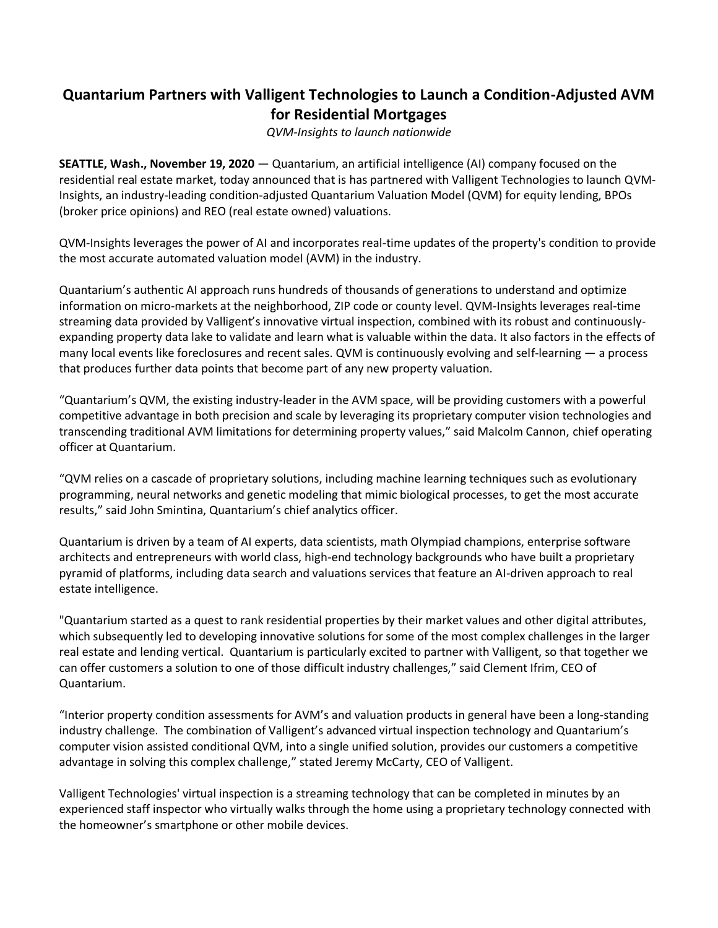## **Quantarium Partners with Valligent Technologies to Launch a Condition-Adjusted AVM for Residential Mortgages**

*QVM-Insights to launch nationwide*

**SEATTLE, Wash., November 19, 2020** — Quantarium, an artificial intelligence (AI) company focused on the residential real estate market, today announced that is has partnered with Valligent Technologies to launch QVM-Insights, an industry-leading condition-adjusted Quantarium Valuation Model (QVM) for equity lending, BPOs (broker price opinions) and REO (real estate owned) valuations.

QVM-Insights leverages the power of AI and incorporates real-time updates of the property's condition to provide the most accurate automated valuation model (AVM) in the industry.

Quantarium's authentic AI approach runs hundreds of thousands of generations to understand and optimize information on micro-markets at the neighborhood, ZIP code or county level. QVM-Insights leverages real-time streaming data provided by Valligent's innovative virtual inspection, combined with its robust and continuouslyexpanding property data lake to validate and learn what is valuable within the data. It also factors in the effects of many local events like foreclosures and recent sales. QVM is continuously evolving and self-learning — a process that produces further data points that become part of any new property valuation.

"Quantarium's QVM, the existing industry-leader in the AVM space, will be providing customers with a powerful competitive advantage in both precision and scale by leveraging its proprietary computer vision technologies and transcending traditional AVM limitations for determining property values," said Malcolm Cannon, chief operating officer at Quantarium.

"QVM relies on a cascade of proprietary solutions, including machine learning techniques such as evolutionary programming, neural networks and genetic modeling that mimic biological processes, to get the most accurate results," said John Smintina, Quantarium's chief analytics officer.

Quantarium is driven by a team of AI experts, data scientists, math Olympiad champions, enterprise software architects and entrepreneurs with world class, high-end technology backgrounds who have built a proprietary pyramid of platforms, including data search and valuations services that feature an AI-driven approach to real estate intelligence.

"Quantarium started as a quest to rank residential properties by their market values and other digital attributes, which subsequently led to developing innovative solutions for some of the most complex challenges in the larger real estate and lending vertical. Quantarium is particularly excited to partner with Valligent, so that together we can offer customers a solution to one of those difficult industry challenges," said Clement Ifrim, CEO of Quantarium.

"Interior property condition assessments for AVM's and valuation products in general have been a long-standing industry challenge. The combination of Valligent's advanced virtual inspection technology and Quantarium's computer vision assisted conditional QVM, into a single unified solution, provides our customers a competitive advantage in solving this complex challenge," stated Jeremy McCarty, CEO of Valligent.

Valligent Technologies' virtual inspection is a streaming technology that can be completed in minutes by an experienced staff inspector who virtually walks through the home using a proprietary technology connected with the homeowner's smartphone or other mobile devices.